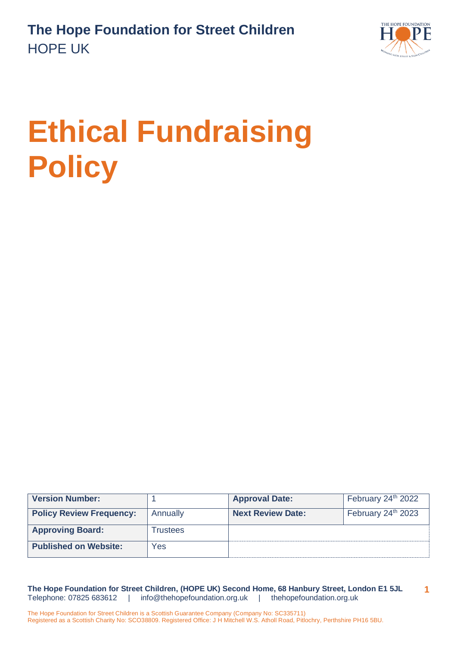

# **Ethical Fundraising Policy**

| <b>Version Number:</b>          |                 | <b>Approval Date:</b>    | February 24 <sup>th</sup> 2022 |
|---------------------------------|-----------------|--------------------------|--------------------------------|
| <b>Policy Review Frequency:</b> | Annually        | <b>Next Review Date:</b> | February 24th 2023             |
| <b>Approving Board:</b>         | <b>Trustees</b> |                          |                                |
| <b>Published on Website:</b>    | Yes             |                          |                                |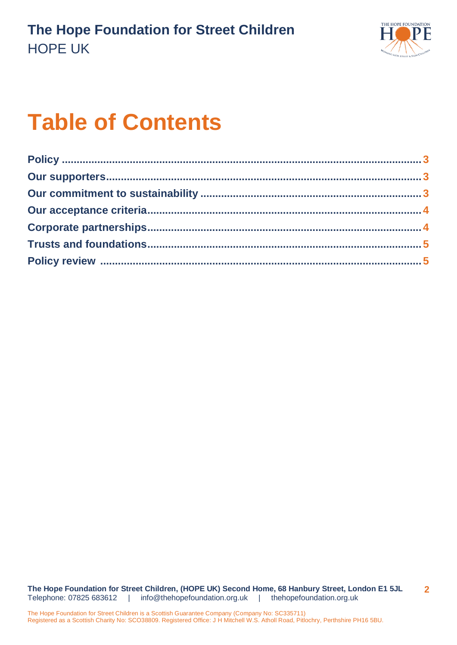

## **Table of Contents**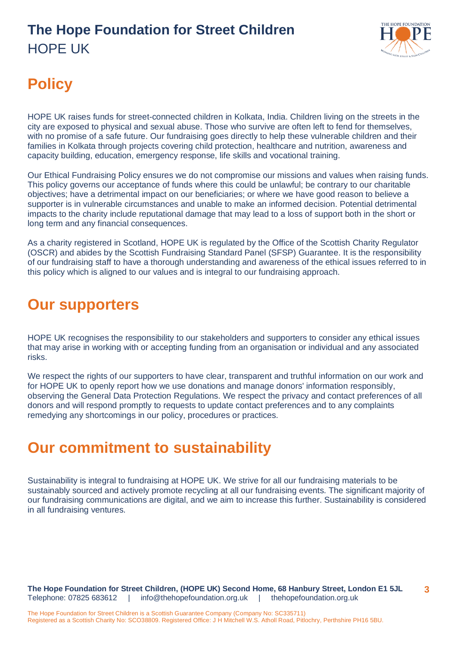

### <span id="page-2-0"></span>**Policy**

HOPE UK raises funds for street-connected children in Kolkata, India. Children living on the streets in the city are exposed to physical and sexual abuse. Those who survive are often left to fend for themselves, with no promise of a safe future. Our fundraising goes directly to help these vulnerable children and their families in Kolkata through projects covering child protection, healthcare and nutrition, awareness and capacity building, education, emergency response, life skills and vocational training.

Our Ethical Fundraising Policy ensures we do not compromise our missions and values when raising funds. This policy governs our acceptance of funds where this could be unlawful; be contrary to our charitable objectives; have a detrimental impact on our beneficiaries; or where we have good reason to believe a supporter is in vulnerable circumstances and unable to make an informed decision. Potential detrimental impacts to the charity include reputational damage that may lead to a loss of support both in the short or long term and any financial consequences.

As a charity registered in Scotland, HOPE UK is regulated by the Office of the Scottish Charity Regulator (OSCR) and abides by the Scottish Fundraising Standard Panel (SFSP) Guarantee. It is the responsibility of our fundraising staff to have a thorough understanding and awareness of the ethical issues referred to in this policy which is aligned to our values and is integral to our fundraising approach.

#### <span id="page-2-1"></span>**Our supporters**

HOPE UK recognises the responsibility to our stakeholders and supporters to consider any ethical issues that may arise in working with or accepting funding from an organisation or individual and any associated risks.

We respect the rights of our supporters to have clear, transparent and truthful information on our work and for HOPE UK to openly report how we use donations and manage donors' information responsibly, observing the General Data Protection Regulations. We respect the privacy and contact preferences of all donors and will respond promptly to requests to update contact preferences and to any complaints remedying any shortcomings in our policy, procedures or practices.

#### <span id="page-2-2"></span>**Our commitment to sustainability**

Sustainability is integral to fundraising at HOPE UK. We strive for all our fundraising materials to be sustainably sourced and actively promote recycling at all our fundraising events. The significant majority of our fundraising communications are digital, and we aim to increase this further. Sustainability is considered in all fundraising ventures.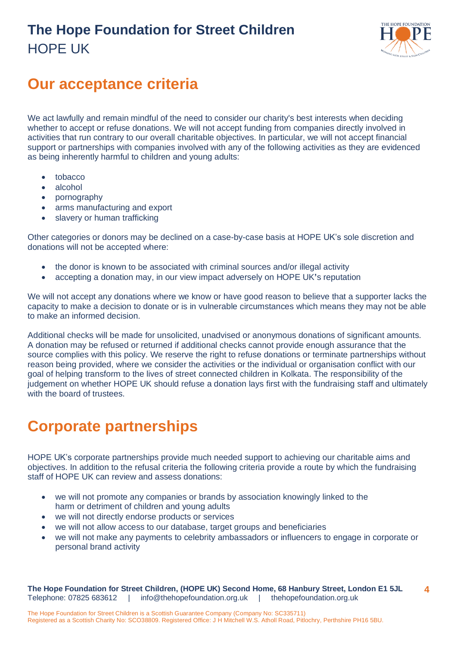

#### <span id="page-3-0"></span>**Our acceptance criteria**

We act lawfully and remain mindful of the need to consider our charity's best interests when deciding whether to accept or refuse donations. We will not accept funding from companies directly involved in activities that run contrary to our overall charitable objectives. In particular, we will not accept financial support or partnerships with companies involved with any of the following activities as they are evidenced as being inherently harmful to children and young adults:

- tobacco
- alcohol
- pornography
- arms manufacturing and export
- slavery or human trafficking

Other categories or donors may be declined on a case-by-case basis at HOPE UK's sole discretion and donations will not be accepted where:

- the donor is known to be associated with criminal sources and/or illegal activity
- accepting a donation may, in our view impact adversely on HOPE UK**'**s reputation

We will not accept any donations where we know or have good reason to believe that a supporter lacks the capacity to make a decision to donate or is in vulnerable circumstances which means they may not be able to make an informed decision.

Additional checks will be made for unsolicited, unadvised or anonymous donations of significant amounts. A donation may be refused or returned if additional checks cannot provide enough assurance that the source complies with this policy. We reserve the right to refuse donations or terminate partnerships without reason being provided, where we consider the activities or the individual or organisation conflict with our goal of helping transform to the lives of street connected children in Kolkata. The responsibility of the judgement on whether HOPE UK should refuse a donation lays first with the fundraising staff and ultimately with the board of trustees.

#### <span id="page-3-1"></span>**Corporate partnerships**

HOPE UK's corporate partnerships provide much needed support to achieving our charitable aims and objectives. In addition to the refusal criteria the following criteria provide a route by which the fundraising staff of HOPE UK can review and assess donations:

- we will not promote any companies or brands by association knowingly linked to the harm or detriment of children and young adults
- we will not directly endorse products or services
- we will not allow access to our database, target groups and beneficiaries
- we will not make any payments to celebrity ambassadors or influencers to engage in corporate or personal brand activity